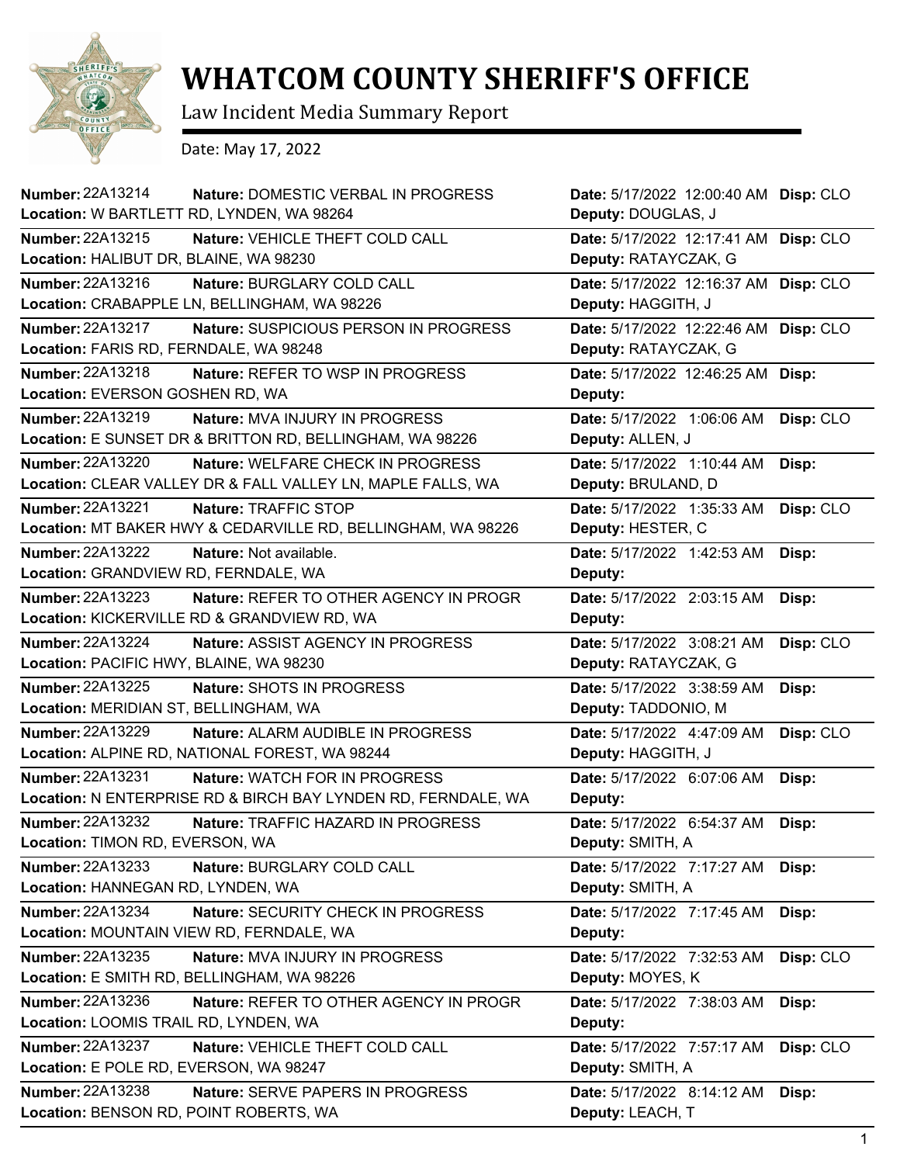

## **WHATCOM COUNTY SHERIFF'S OFFICE**

Law Incident Media Summary Report

Date: May 17, 2022

| Number: 22A13214<br>Nature: DOMESTIC VERBAL IN PROGRESS<br>Location: W BARTLETT RD, LYNDEN, WA 98264                               | Date: 5/17/2022 12:00:40 AM Disp: CLO<br>Deputy: DOUGLAS, J |           |
|------------------------------------------------------------------------------------------------------------------------------------|-------------------------------------------------------------|-----------|
|                                                                                                                                    |                                                             |           |
| <b>Number: 22A13215</b><br>Nature: VEHICLE THEFT COLD CALL<br>Location: HALIBUT DR, BLAINE, WA 98230                               | Date: 5/17/2022 12:17:41 AM<br>Deputy: RATAYCZAK, G         | Disp: CLO |
| Number: 22A13216<br>Nature: BURGLARY COLD CALL<br>Location: CRABAPPLE LN, BELLINGHAM, WA 98226                                     | Date: 5/17/2022 12:16:37 AM<br>Deputy: HAGGITH, J           | Disp: CLO |
| Number: 22A13217<br>Nature: SUSPICIOUS PERSON IN PROGRESS                                                                          | Date: 5/17/2022 12:22:46 AM                                 | Disp: CLO |
| Location: FARIS RD, FERNDALE, WA 98248                                                                                             | Deputy: RATAYCZAK, G                                        |           |
| Number: 22A13218<br><b>Nature: REFER TO WSP IN PROGRESS</b><br>Location: EVERSON GOSHEN RD, WA                                     | Date: 5/17/2022 12:46:25 AM<br>Deputy:                      | Disp:     |
|                                                                                                                                    |                                                             |           |
| Number: 22A13219<br>Nature: MVA INJURY IN PROGRESS<br>Location: E SUNSET DR & BRITTON RD, BELLINGHAM, WA 98226                     | Date: 5/17/2022 1:06:06 AM<br>Deputy: ALLEN, J              | Disp: CLO |
| <b>Number: 22A13220</b><br><b>Nature: WELFARE CHECK IN PROGRESS</b><br>Location: CLEAR VALLEY DR & FALL VALLEY LN, MAPLE FALLS, WA | Date: 5/17/2022 1:10:44 AM<br>Deputy: BRULAND, D            | Disp:     |
| <b>Number: 22A13221</b><br>Nature: TRAFFIC STOP<br>Location: MT BAKER HWY & CEDARVILLE RD, BELLINGHAM, WA 98226                    | Date: 5/17/2022 1:35:33 AM<br>Deputy: HESTER, C             | Disp: CLO |
| Number: 22A13222<br>Nature: Not available.<br>Location: GRANDVIEW RD, FERNDALE, WA                                                 | Date: 5/17/2022 1:42:53 AM<br>Deputy:                       | Disp:     |
| <b>Number: 22A13223</b><br>Nature: REFER TO OTHER AGENCY IN PROGR<br>Location: KICKERVILLE RD & GRANDVIEW RD, WA                   | Date: 5/17/2022 2:03:15 AM<br>Deputy:                       | Disp:     |
| <b>Number: 22A13224</b><br>Nature: ASSIST AGENCY IN PROGRESS<br>Location: PACIFIC HWY, BLAINE, WA 98230                            | Date: 5/17/2022 3:08:21 AM<br>Deputy: RATAYCZAK, G          | Disp: CLO |
| <b>Number: 22A13225</b><br>Nature: SHOTS IN PROGRESS<br>Location: MERIDIAN ST, BELLINGHAM, WA                                      | Date: 5/17/2022 3:38:59 AM<br>Deputy: TADDONIO, M           | Disp:     |
| Number: 22A13229<br>Nature: ALARM AUDIBLE IN PROGRESS<br>Location: ALPINE RD, NATIONAL FOREST, WA 98244                            | Date: 5/17/2022 4:47:09 AM<br>Deputy: HAGGITH, J            | Disp: CLO |
| Number: 22A13231<br><b>Nature: WATCH FOR IN PROGRESS</b><br>Location: N ENTERPRISE RD & BIRCH BAY LYNDEN RD, FERNDALE, WA          | Date: 5/17/2022 6:07:06 AM<br>Deputy:                       | Disp:     |
| Number: 22A13232<br>Nature: TRAFFIC HAZARD IN PROGRESS<br>Location: TIMON RD, EVERSON, WA                                          | Date: 5/17/2022 6:54:37 AM<br>Deputy: SMITH, A              | Disp:     |
| Number: 22A13233<br>Nature: BURGLARY COLD CALL<br>Location: HANNEGAN RD, LYNDEN, WA                                                | Date: 5/17/2022 7:17:27 AM<br>Deputy: SMITH, A              | Disp:     |
| Number: 22A13234<br>Nature: SECURITY CHECK IN PROGRESS<br>Location: MOUNTAIN VIEW RD, FERNDALE, WA                                 | Date: 5/17/2022 7:17:45 AM<br>Deputy:                       | Disp:     |
| Number: 22A13235<br>Nature: MVA INJURY IN PROGRESS<br>Location: E SMITH RD, BELLINGHAM, WA 98226                                   | Date: 5/17/2022 7:32:53 AM<br>Deputy: MOYES, K              | Disp: CLO |
| Number: 22A13236<br>Nature: REFER TO OTHER AGENCY IN PROGR<br>Location: LOOMIS TRAIL RD, LYNDEN, WA                                | Date: 5/17/2022 7:38:03 AM<br>Deputy:                       | Disp:     |
| Number: 22A13237<br>Nature: VEHICLE THEFT COLD CALL<br>Location: E POLE RD, EVERSON, WA 98247                                      | Date: 5/17/2022 7:57:17 AM<br>Deputy: SMITH, A              | Disp: CLO |
| Number: 22A13238<br>Nature: SERVE PAPERS IN PROGRESS<br>Location: BENSON RD, POINT ROBERTS, WA                                     | Date: 5/17/2022 8:14:12 AM<br>Deputy: LEACH, T              | Disp:     |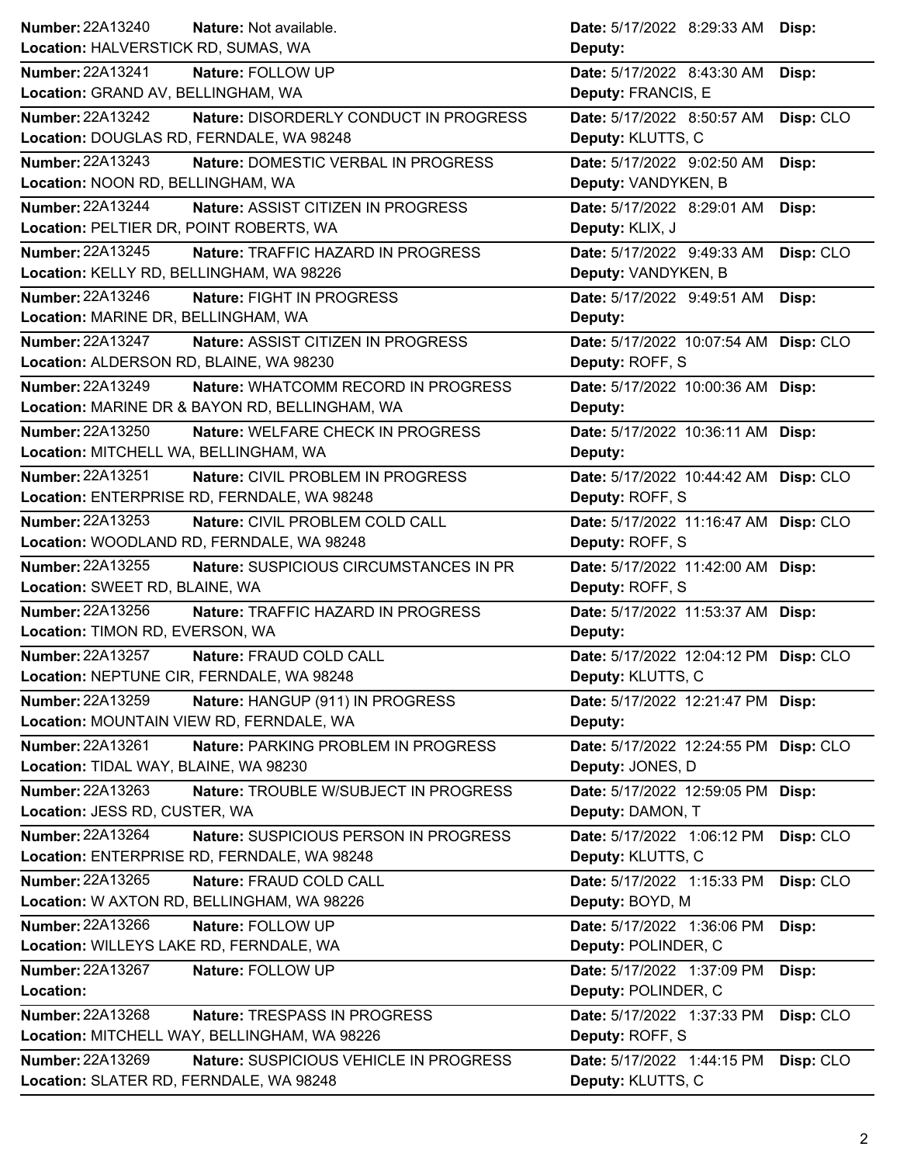| Number: 22A13240<br>Nature: Not available.                        | <b>Date:</b> 5/17/2022 8:29:33 AM<br>Disp: |
|-------------------------------------------------------------------|--------------------------------------------|
| Location: HALVERSTICK RD, SUMAS, WA                               | Deputy:                                    |
| Number: 22A13241<br>Nature: FOLLOW UP                             | Date: 5/17/2022 8:43:30 AM<br>Disp:        |
| Location: GRAND AV, BELLINGHAM, WA                                | Deputy: FRANCIS, E                         |
| <b>Number: 22A13242</b><br>Nature: DISORDERLY CONDUCT IN PROGRESS | Date: 5/17/2022 8:50:57 AM<br>Disp: CLO    |
| Location: DOUGLAS RD, FERNDALE, WA 98248                          | Deputy: KLUTTS, C                          |
| <b>Number: 22A13243</b><br>Nature: DOMESTIC VERBAL IN PROGRESS    | Date: 5/17/2022 9:02:50 AM<br>Disp:        |
| Location: NOON RD, BELLINGHAM, WA                                 | Deputy: VANDYKEN, B                        |
| Number: 22A13244<br>Nature: ASSIST CITIZEN IN PROGRESS            | Date: 5/17/2022 8:29:01 AM<br>Disp:        |
| Location: PELTIER DR, POINT ROBERTS, WA                           | Deputy: KLIX, J                            |
| Number: 22A13245<br>Nature: TRAFFIC HAZARD IN PROGRESS            | Date: 5/17/2022 9:49:33 AM<br>Disp: CLO    |
| Location: KELLY RD, BELLINGHAM, WA 98226                          | Deputy: VANDYKEN, B                        |
| Number: 22A13246<br>Nature: FIGHT IN PROGRESS                     | Date: 5/17/2022 9:49:51 AM<br>Disp:        |
| Location: MARINE DR, BELLINGHAM, WA                               | Deputy:                                    |
| Number: 22A13247<br>Nature: ASSIST CITIZEN IN PROGRESS            | Date: 5/17/2022 10:07:54 AM Disp: CLO      |
| Location: ALDERSON RD, BLAINE, WA 98230                           | Deputy: ROFF, S                            |
| Number: 22A13249<br>Nature: WHATCOMM RECORD IN PROGRESS           | Date: 5/17/2022 10:00:36 AM Disp:          |
| Location: MARINE DR & BAYON RD, BELLINGHAM, WA                    | Deputy:                                    |
| Number: 22A13250<br>Nature: WELFARE CHECK IN PROGRESS             | Date: 5/17/2022 10:36:11 AM Disp:          |
| Location: MITCHELL WA, BELLINGHAM, WA                             | Deputy:                                    |
| <b>Number: 22A13251</b><br>Nature: CIVIL PROBLEM IN PROGRESS      | Date: 5/17/2022 10:44:42 AM Disp: CLO      |
| Location: ENTERPRISE RD, FERNDALE, WA 98248                       | Deputy: ROFF, S                            |
| Number: 22A13253<br>Nature: CIVIL PROBLEM COLD CALL               | Date: 5/17/2022 11:16:47 AM Disp: CLO      |
| Location: WOODLAND RD, FERNDALE, WA 98248                         | Deputy: ROFF, S                            |
| <b>Number: 22A13255</b><br>Nature: SUSPICIOUS CIRCUMSTANCES IN PR | Date: 5/17/2022 11:42:00 AM Disp:          |
| Location: SWEET RD, BLAINE, WA                                    | Deputy: ROFF, S                            |
| Number: 22A13256<br>Nature: TRAFFIC HAZARD IN PROGRESS            | Date: 5/17/2022 11:53:37 AM Disp:          |
| Location: TIMON RD, EVERSON, WA                                   |                                            |
|                                                                   | Deputy:                                    |
| Number: 22A13257<br>Nature: FRAUD COLD CALL                       | Date: 5/17/2022 12:04:12 PM Disp: CLO      |
| Location: NEPTUNE CIR, FERNDALE, WA 98248                         | Deputy: KLUTTS, C                          |
| <b>Number: 22A13259</b><br>Nature: HANGUP (911) IN PROGRESS       | Date: 5/17/2022 12:21:47 PM Disp:          |
| Location: MOUNTAIN VIEW RD, FERNDALE, WA                          | Deputy:                                    |
| Number: 22A13261<br>Nature: PARKING PROBLEM IN PROGRESS           | Date: 5/17/2022 12:24:55 PM Disp: CLO      |
| Location: TIDAL WAY, BLAINE, WA 98230                             | Deputy: JONES, D                           |
| Number: 22A13263<br>Nature: TROUBLE W/SUBJECT IN PROGRESS         | Date: 5/17/2022 12:59:05 PM Disp:          |
| Location: JESS RD, CUSTER, WA                                     | Deputy: DAMON, T                           |
| Number: 22A13264<br>Nature: SUSPICIOUS PERSON IN PROGRESS         | Date: 5/17/2022 1:06:12 PM<br>Disp: CLO    |
| Location: ENTERPRISE RD, FERNDALE, WA 98248                       | Deputy: KLUTTS, C                          |
| Number: 22A13265<br>Nature: FRAUD COLD CALL                       | Disp: CLO<br>Date: 5/17/2022 1:15:33 PM    |
| Location: W AXTON RD, BELLINGHAM, WA 98226                        | Deputy: BOYD, M                            |
| Number: 22A13266<br>Nature: FOLLOW UP                             | Date: 5/17/2022 1:36:06 PM<br>Disp:        |
| Location: WILLEYS LAKE RD, FERNDALE, WA                           | Deputy: POLINDER, C                        |
| Number: 22A13267<br>Nature: FOLLOW UP                             | Date: 5/17/2022 1:37:09 PM<br>Disp:        |
| Location:                                                         | Deputy: POLINDER, C                        |
| Number: 22A13268<br>Nature: TRESPASS IN PROGRESS                  | Date: 5/17/2022 1:37:33 PM<br>Disp: CLO    |
| Location: MITCHELL WAY, BELLINGHAM, WA 98226                      | Deputy: ROFF, S                            |
| Number: 22A13269<br>Nature: SUSPICIOUS VEHICLE IN PROGRESS        | Disp: CLO<br>Date: 5/17/2022 1:44:15 PM    |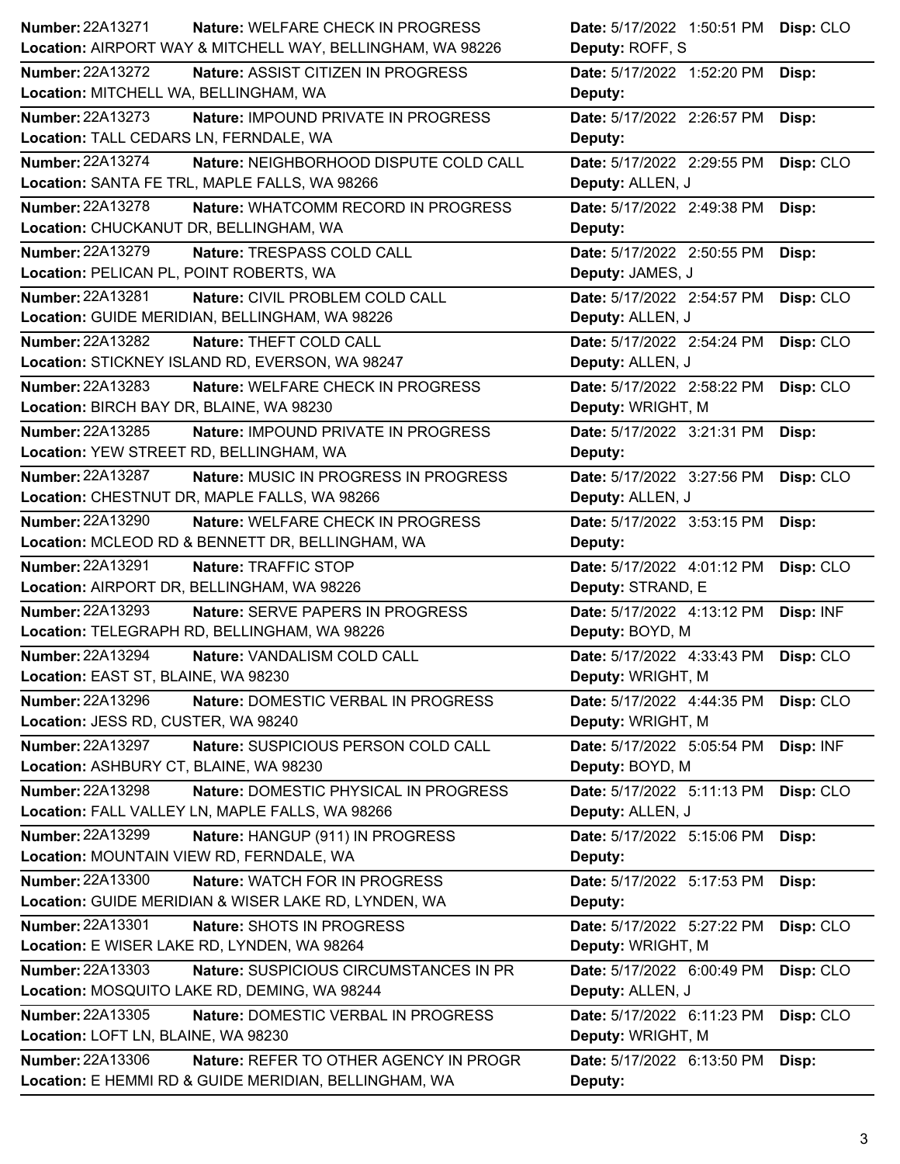| <b>Number: 22A13271</b><br>Nature: WELFARE CHECK IN PROGRESS        | Date: 5/17/2022 1:50:51 PM Disp: CLO    |
|---------------------------------------------------------------------|-----------------------------------------|
| Location: AIRPORT WAY & MITCHELL WAY, BELLINGHAM, WA 98226          | Deputy: ROFF, S                         |
| <b>Number: 22A13272</b><br>Nature: ASSIST CITIZEN IN PROGRESS       | Date: 5/17/2022 1:52:20 PM<br>Disp:     |
| Location: MITCHELL WA, BELLINGHAM, WA                               | Deputy:                                 |
| Number: 22A13273<br>Nature: IMPOUND PRIVATE IN PROGRESS             | Date: 5/17/2022 2:26:57 PM<br>Disp:     |
| Location: TALL CEDARS LN, FERNDALE, WA                              | Deputy:                                 |
| <b>Number: 22A13274</b><br>Nature: NEIGHBORHOOD DISPUTE COLD CALL   | Date: 5/17/2022 2:29:55 PM<br>Disp: CLO |
| Location: SANTA FE TRL, MAPLE FALLS, WA 98266                       | Deputy: ALLEN, J                        |
| Number: 22A13278<br>Nature: WHATCOMM RECORD IN PROGRESS             | Date: 5/17/2022 2:49:38 PM<br>Disp:     |
| Location: CHUCKANUT DR, BELLINGHAM, WA                              | Deputy:                                 |
| Number: 22A13279<br>Nature: TRESPASS COLD CALL                      | Date: 5/17/2022 2:50:55 PM<br>Disp:     |
| Location: PELICAN PL, POINT ROBERTS, WA                             | Deputy: JAMES, J                        |
| Number: 22A13281<br>Nature: CIVIL PROBLEM COLD CALL                 | Date: 5/17/2022 2:54:57 PM<br>Disp: CLO |
| Location: GUIDE MERIDIAN, BELLINGHAM, WA 98226                      | Deputy: ALLEN, J                        |
| Number: 22A13282<br>Nature: THEFT COLD CALL                         | Date: 5/17/2022 2:54:24 PM<br>Disp: CLO |
| Location: STICKNEY ISLAND RD, EVERSON, WA 98247                     | Deputy: ALLEN, J                        |
| <b>Number: 22A13283</b><br><b>Nature: WELFARE CHECK IN PROGRESS</b> | Date: 5/17/2022 2:58:22 PM<br>Disp: CLO |
| Location: BIRCH BAY DR, BLAINE, WA 98230                            | Deputy: WRIGHT, M                       |
| Number: 22A13285<br>Nature: IMPOUND PRIVATE IN PROGRESS             | Date: 5/17/2022 3:21:31 PM<br>Disp:     |
| Location: YEW STREET RD, BELLINGHAM, WA                             | Deputy:                                 |
| <b>Number: 22A13287</b><br>Nature: MUSIC IN PROGRESS IN PROGRESS    | Date: 5/17/2022 3:27:56 PM<br>Disp: CLO |
| Location: CHESTNUT DR, MAPLE FALLS, WA 98266                        | Deputy: ALLEN, J                        |
| Number: 22A13290<br><b>Nature: WELFARE CHECK IN PROGRESS</b>        | Date: 5/17/2022 3:53:15 PM<br>Disp:     |
| Location: MCLEOD RD & BENNETT DR, BELLINGHAM, WA                    | Deputy:                                 |
| <b>Number: 22A13291</b><br>Nature: TRAFFIC STOP                     | Date: 5/17/2022 4:01:12 PM<br>Disp: CLO |
| Location: AIRPORT DR, BELLINGHAM, WA 98226                          | Deputy: STRAND, E                       |
| Number: 22A13293<br>Nature: SERVE PAPERS IN PROGRESS                | Date: 5/17/2022 4:13:12 PM<br>Disp: INF |
| Location: TELEGRAPH RD, BELLINGHAM, WA 98226                        | Deputy: BOYD, M                         |
| <b>Number: 22A13294</b>                                             |                                         |
| Nature: VANDALISM COLD CALL                                         | Date: 5/17/2022 4:33:43 PM<br>Disp: CLO |
| Location: EAST ST, BLAINE, WA 98230                                 | Deputy: WRIGHT, M                       |
| Number: 22A13296<br>Nature: DOMESTIC VERBAL IN PROGRESS             | Date: 5/17/2022 4:44:35 PM<br>Disp: CLO |
| Location: JESS RD, CUSTER, WA 98240                                 | Deputy: WRIGHT, M                       |
| Number: 22A13297<br>Nature: SUSPICIOUS PERSON COLD CALL             | Date: 5/17/2022 5:05:54 PM<br>Disp: INF |
| Location: ASHBURY CT, BLAINE, WA 98230                              | Deputy: BOYD, M                         |
| Number: 22A13298<br>Nature: DOMESTIC PHYSICAL IN PROGRESS           | Date: 5/17/2022 5:11:13 PM<br>Disp: CLO |
| Location: FALL VALLEY LN, MAPLE FALLS, WA 98266                     | Deputy: ALLEN, J                        |
| Number: 22A13299<br>Nature: HANGUP (911) IN PROGRESS                | Date: 5/17/2022 5:15:06 PM<br>Disp:     |
| Location: MOUNTAIN VIEW RD, FERNDALE, WA                            | Deputy:                                 |
| <b>Number: 22A13300</b><br>Nature: WATCH FOR IN PROGRESS            | Date: 5/17/2022 5:17:53 PM<br>Disp:     |
| Location: GUIDE MERIDIAN & WISER LAKE RD, LYNDEN, WA                | Deputy:                                 |
| Number: 22A13301<br>Nature: SHOTS IN PROGRESS                       | Disp: CLO<br>Date: 5/17/2022 5:27:22 PM |
| Location: E WISER LAKE RD, LYNDEN, WA 98264                         | Deputy: WRIGHT, M                       |
| Number: 22A13303<br>Nature: SUSPICIOUS CIRCUMSTANCES IN PR          | Disp: CLO<br>Date: 5/17/2022 6:00:49 PM |
| Location: MOSQUITO LAKE RD, DEMING, WA 98244                        | Deputy: ALLEN, J                        |
| <b>Number: 22A13305</b><br>Nature: DOMESTIC VERBAL IN PROGRESS      | Date: 5/17/2022 6:11:23 PM              |
| Location: LOFT LN, BLAINE, WA 98230                                 | Disp: CLO<br>Deputy: WRIGHT, M          |
| Number: 22A13306<br>Nature: REFER TO OTHER AGENCY IN PROGR          | Date: 5/17/2022 6:13:50 PM<br>Disp:     |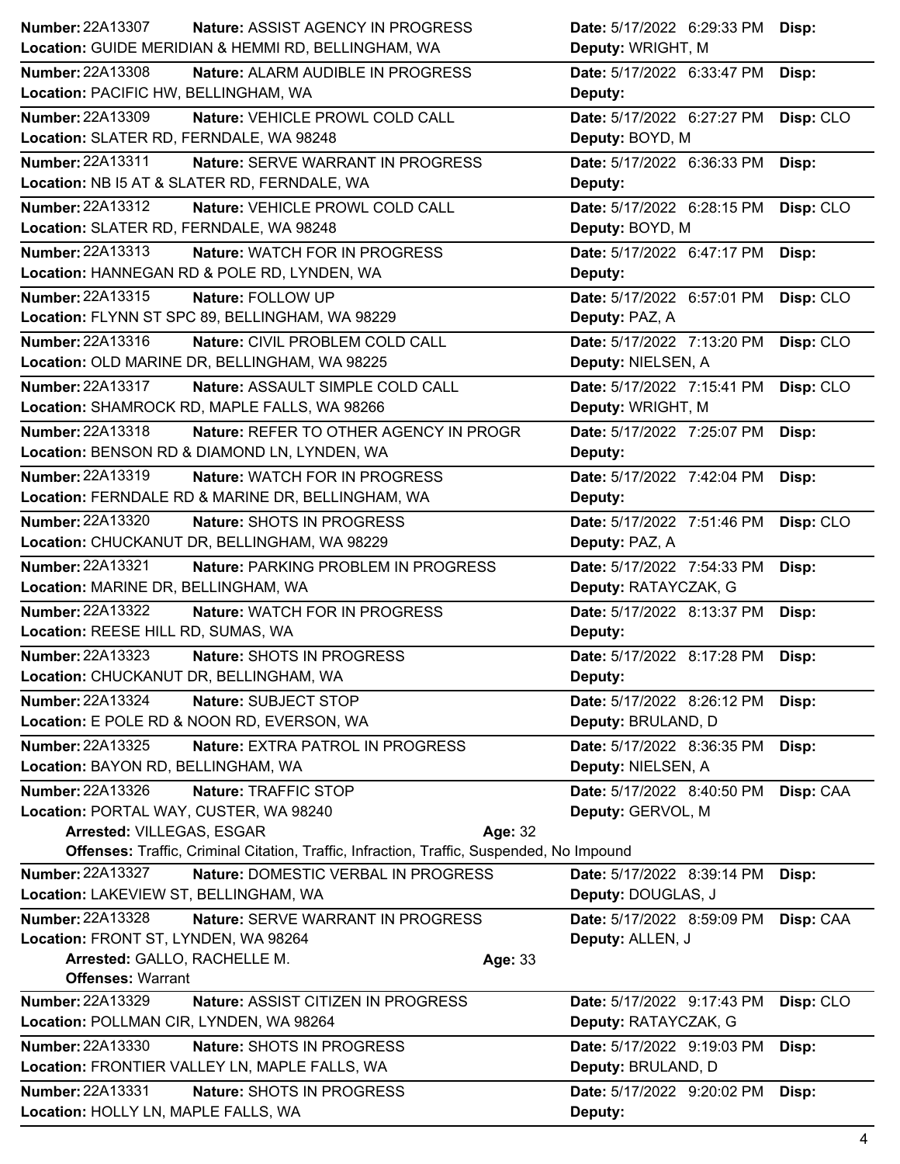| <b>Number: 22A13307</b><br>Nature: ASSIST AGENCY IN PROGRESS                              | Date: 5/17/2022 6:29:33 PM            | Disp:     |
|-------------------------------------------------------------------------------------------|---------------------------------------|-----------|
| Location: GUIDE MERIDIAN & HEMMI RD, BELLINGHAM, WA                                       | Deputy: WRIGHT, M                     |           |
| <b>Number: 22A13308</b><br>Nature: ALARM AUDIBLE IN PROGRESS                              | Date: 5/17/2022 6:33:47 PM            | Disp:     |
| Location: PACIFIC HW, BELLINGHAM, WA                                                      | Deputy:                               |           |
| Number: 22A13309<br>Nature: VEHICLE PROWL COLD CALL                                       | Date: 5/17/2022 6:27:27 PM            | Disp: CLO |
| Location: SLATER RD, FERNDALE, WA 98248                                                   | Deputy: BOYD, M                       |           |
| Number: 22A13311<br>Nature: SERVE WARRANT IN PROGRESS                                     | Date: 5/17/2022 6:36:33 PM            | Disp:     |
| Location: NB I5 AT & SLATER RD, FERNDALE, WA                                              | Deputy:                               |           |
| Number: 22A13312<br>Nature: VEHICLE PROWL COLD CALL                                       | Date: 5/17/2022 6:28:15 PM            | Disp: CLO |
| Location: SLATER RD, FERNDALE, WA 98248                                                   | Deputy: BOYD, M                       |           |
| Number: 22A13313<br>Nature: WATCH FOR IN PROGRESS                                         | Date: 5/17/2022 6:47:17 PM            | Disp:     |
| Location: HANNEGAN RD & POLE RD, LYNDEN, WA                                               | Deputy:                               |           |
| Number: 22A13315<br>Nature: FOLLOW UP                                                     | Date: 5/17/2022 6:57:01 PM            | Disp: CLO |
| Location: FLYNN ST SPC 89, BELLINGHAM, WA 98229                                           | Deputy: PAZ, A                        |           |
| Number: 22A13316<br>Nature: CIVIL PROBLEM COLD CALL                                       | Date: 5/17/2022 7:13:20 PM            | Disp: CLO |
| Location: OLD MARINE DR, BELLINGHAM, WA 98225                                             | Deputy: NIELSEN, A                    |           |
| Number: 22A13317<br>Nature: ASSAULT SIMPLE COLD CALL                                      | Date: 5/17/2022 7:15:41 PM            | Disp: CLO |
| Location: SHAMROCK RD, MAPLE FALLS, WA 98266                                              | Deputy: WRIGHT, M                     |           |
| Number: 22A13318<br>Nature: REFER TO OTHER AGENCY IN PROGR                                | Date: 5/17/2022 7:25:07 PM            | Disp:     |
| Location: BENSON RD & DIAMOND LN, LYNDEN, WA                                              | Deputy:                               |           |
| Number: 22A13319<br>Nature: WATCH FOR IN PROGRESS                                         | Date: 5/17/2022 7:42:04 PM            | Disp:     |
| Location: FERNDALE RD & MARINE DR, BELLINGHAM, WA                                         | Deputy:                               |           |
| Number: 22A13320<br>Nature: SHOTS IN PROGRESS                                             | Date: 5/17/2022 7:51:46 PM            | Disp: CLO |
| Location: CHUCKANUT DR, BELLINGHAM, WA 98229                                              | Deputy: PAZ, A                        |           |
| <b>Number: 22A13321</b><br>Nature: PARKING PROBLEM IN PROGRESS                            | Date: 5/17/2022 7:54:33 PM            | Disp:     |
| Location: MARINE DR, BELLINGHAM, WA                                                       | Deputy: RATAYCZAK, G                  |           |
| Number: 22A13322<br>Nature: WATCH FOR IN PROGRESS                                         | Date: 5/17/2022 8:13:37 PM            | Disp:     |
| Location: REESE HILL RD, SUMAS, WA                                                        | Deputy:                               |           |
| Number: 22A13323<br>Nature: SHOTS IN PROGRESS                                             | Date: 5/17/2022 8:17:28 PM            | Disp:     |
| Location: CHUCKANUT DR, BELLINGHAM, WA                                                    | Deputy:                               |           |
| <b>Number: 22A13324</b><br>Nature: SUBJECT STOP                                           | Date: 5/17/2022 8:26:12 PM            | Disp:     |
| Location: E POLE RD & NOON RD, EVERSON, WA                                                | Deputy: BRULAND, D                    |           |
| Number: 22A13325<br><b>Nature: EXTRA PATROL IN PROGRESS</b>                               | Date: 5/17/2022 8:36:35 PM            | Disp:     |
| Location: BAYON RD, BELLINGHAM, WA                                                        | Deputy: NIELSEN, A                    |           |
| Number: 22A13326<br>Nature: TRAFFIC STOP                                                  | Date: 5/17/2022 8:40:50 PM            | Disp: CAA |
| Location: PORTAL WAY, CUSTER, WA 98240                                                    | Deputy: GERVOL, M                     |           |
| Arrested: VILLEGAS, ESGAR<br>Age: 32                                                      |                                       |           |
| Offenses: Traffic, Criminal Citation, Traffic, Infraction, Traffic, Suspended, No Impound |                                       |           |
| <b>Number: 22A13327</b><br>Nature: DOMESTIC VERBAL IN PROGRESS                            | Date: 5/17/2022 8:39:14 PM            | Disp:     |
| Location: LAKEVIEW ST, BELLINGHAM, WA                                                     | Deputy: DOUGLAS, J                    |           |
| <b>Number: 22A13328</b><br>Nature: SERVE WARRANT IN PROGRESS                              | Date: 5/17/2022 8:59:09 PM            | Disp: CAA |
| Location: FRONT ST, LYNDEN, WA 98264                                                      | Deputy: ALLEN, J                      |           |
| Arrested: GALLO, RACHELLE M.<br>Age: 33                                                   |                                       |           |
| <b>Offenses: Warrant</b>                                                                  |                                       |           |
| Number: 22A13329<br>Nature: ASSIST CITIZEN IN PROGRESS                                    | Date: 5/17/2022 9:17:43 PM            | Disp: CLO |
| Location: POLLMAN CIR, LYNDEN, WA 98264                                                   | Deputy: RATAYCZAK, G                  |           |
| Number: 22A13330<br>Nature: SHOTS IN PROGRESS                                             | Date: 5/17/2022 9:19:03 PM            | Disp:     |
| Location: FRONTIER VALLEY LN, MAPLE FALLS, WA                                             |                                       |           |
|                                                                                           | Deputy: BRULAND, D                    |           |
| Number: 22A13331<br>Nature: SHOTS IN PROGRESS<br>Location: HOLLY LN, MAPLE FALLS, WA      | Date: 5/17/2022 9:20:02 PM<br>Deputy: | Disp:     |